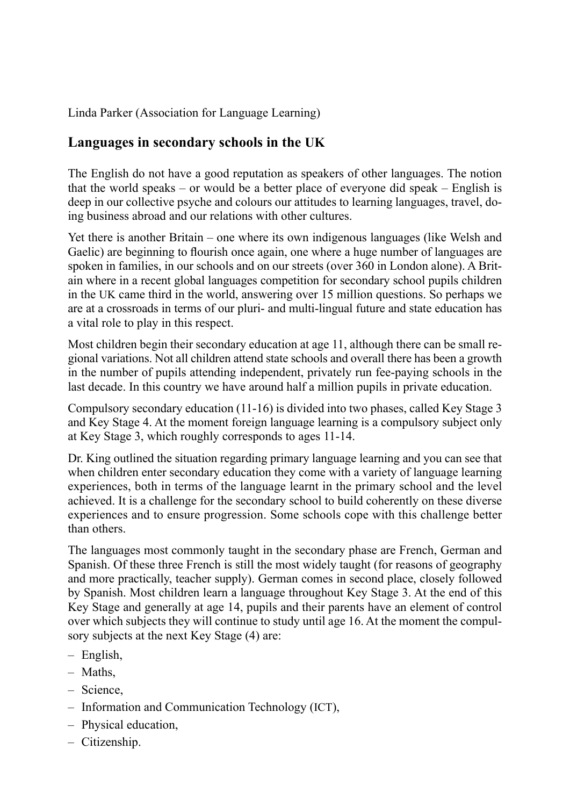Linda Parker (Association for Language Learning)

## **Languages in secondary schools in the UK**

The English do not have a good reputation as speakers of other languages. The notion that the world speaks – or would be a better place of everyone did speak – English is deep in our collective psyche and colours our attitudes to learning languages, travel, doing business abroad and our relations with other cultures.

Yet there is another Britain – one where its own indigenous languages (like Welsh and Gaelic) are beginning to flourish once again, one where a huge number of languages are spoken in families, in our schools and on our streets (over 360 in London alone). A Britain where in a recent global languages competition for secondary school pupils children in the UK came third in the world, answering over 15 million questions. So perhaps we are at a crossroads in terms of our pluri- and multi-lingual future and state education has a vital role to play in this respect.

Most children begin their secondary education at age 11, although there can be small regional variations. Not all children attend state schools and overall there has been a growth in the number of pupils attending independent, privately run fee-paying schools in the last decade. In this country we have around half a million pupils in private education.

Compulsory secondary education (11-16) is divided into two phases, called Key Stage 3 and Key Stage 4. At the moment foreign language learning is a compulsory subject only at Key Stage 3, which roughly corresponds to ages 11-14.

Dr. King outlined the situation regarding primary language learning and you can see that when children enter secondary education they come with a variety of language learning experiences, both in terms of the language learnt in the primary school and the level achieved. It is a challenge for the secondary school to build coherently on these diverse experiences and to ensure progression. Some schools cope with this challenge better than others.

The languages most commonly taught in the secondary phase are French, German and Spanish. Of these three French is still the most widely taught (for reasons of geography and more practically, teacher supply). German comes in second place, closely followed by Spanish. Most children learn a language throughout Key Stage 3. At the end of this Key Stage and generally at age 14, pupils and their parents have an element of control over which subjects they will continue to study until age 16. At the moment the compulsory subjects at the next Key Stage (4) are:

- English, –
- Maths, –
- Science,
- Information and Communication Technology (ICT),
- Physical education,
- Citizenship. –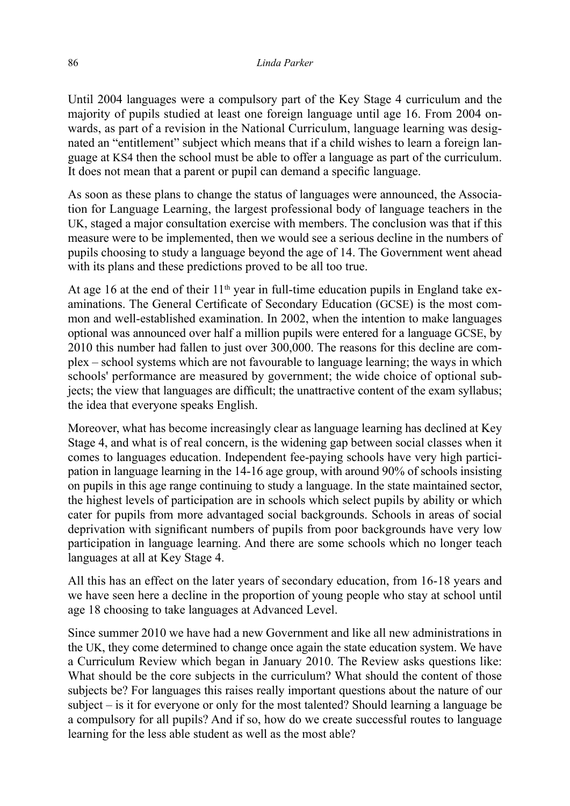Until 2004 languages were a compulsory part of the Key Stage 4 curriculum and the majority of pupils studied at least one foreign language until age 16. From 2004 onwards, as part of a revision in the National Curriculum, language learning was designated an "entitlement" subject which means that if a child wishes to learn a foreign language at KS4 then the school must be able to offer a language as part of the curriculum. It does not mean that a parent or pupil can demand a specific language.

As soon as these plans to change the status of languages were announced, the Association for Language Learning, the largest professional body of language teachers in the UK, staged a major consultation exercise with members. The conclusion was that if this measure were to be implemented, then we would see a serious decline in the numbers of pupils choosing to study a language beyond the age of 14. The Government went ahead with its plans and these predictions proved to be all too true.

At age 16 at the end of their  $11<sup>th</sup>$  year in full-time education pupils in England take examinations. The General Certificate of Secondary Education (GCSE) is the most common and well-established examination. In 2002, when the intention to make languages optional was announced over half a million pupils were entered for a language GCSE, by 2010 this number had fallen to just over 300,000. The reasons for this decline are complex – school systems which are not favourable to language learning; the ways in which schools' performance are measured by government; the wide choice of optional subjects; the view that languages are difficult; the unattractive content of the exam syllabus; the idea that everyone speaks English.

Moreover, what has become increasingly clear as language learning has declined at Key Stage 4, and what is of real concern, is the widening gap between social classes when it comes to languages education. Independent fee-paying schools have very high participation in language learning in the 14-16 age group, with around 90% of schools insisting on pupils in this age range continuing to study a language. In the state maintained sector, the highest levels of participation are in schools which select pupils by ability or which cater for pupils from more advantaged social backgrounds. Schools in areas of social deprivation with significant numbers of pupils from poor backgrounds have very low participation in language learning. And there are some schools which no longer teach languages at all at Key Stage 4.

All this has an effect on the later years of secondary education, from 16-18 years and we have seen here a decline in the proportion of young people who stay at school until age 18 choosing to take languages at Advanced Level.

Since summer 2010 we have had a new Government and like all new administrations in the UK, they come determined to change once again the state education system. We have a Curriculum Review which began in January 2010. The Review asks questions like: What should be the core subjects in the curriculum? What should the content of those subjects be? For languages this raises really important questions about the nature of our subject – is it for everyone or only for the most talented? Should learning a language be a compulsory for all pupils? And if so, how do we create successful routes to language learning for the less able student as well as the most able?